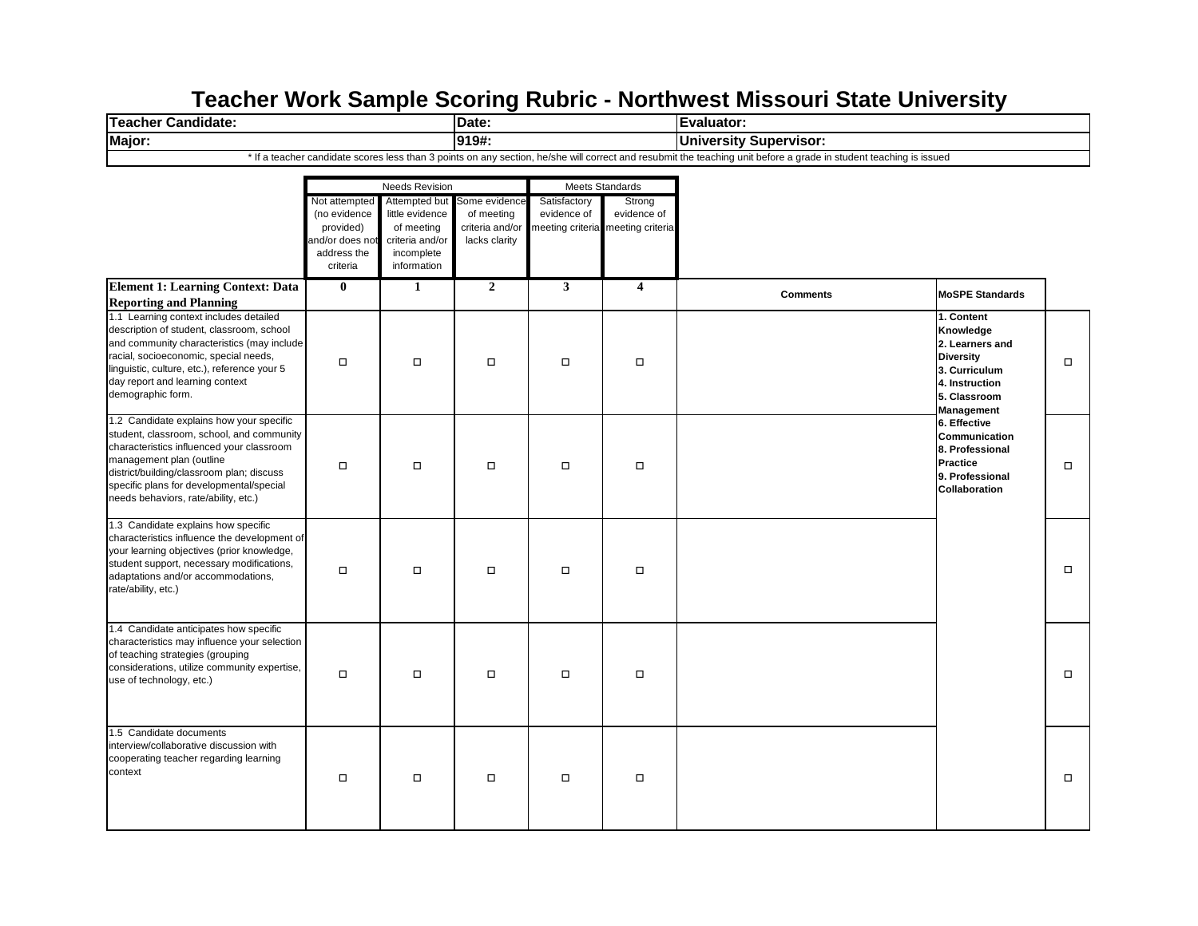## **Teacher Work Sample Scoring Rubric - Northwest Missouri State University**

| <b>Teacher Candidate:</b>                                                                                                                                                                                                                                                                       |                                                                                          |                                                                                                | Date:                                                           |                             |                                                            | Evaluator:                                                                                                                                                         |                                                                                                                                 |        |
|-------------------------------------------------------------------------------------------------------------------------------------------------------------------------------------------------------------------------------------------------------------------------------------------------|------------------------------------------------------------------------------------------|------------------------------------------------------------------------------------------------|-----------------------------------------------------------------|-----------------------------|------------------------------------------------------------|--------------------------------------------------------------------------------------------------------------------------------------------------------------------|---------------------------------------------------------------------------------------------------------------------------------|--------|
| Major:                                                                                                                                                                                                                                                                                          |                                                                                          |                                                                                                | 919#:                                                           |                             |                                                            | <b>University Supervisor:</b>                                                                                                                                      |                                                                                                                                 |        |
|                                                                                                                                                                                                                                                                                                 |                                                                                          |                                                                                                |                                                                 |                             |                                                            | * If a teacher candidate scores less than 3 points on any section, he/she will correct and resubmit the teaching unit before a grade in student teaching is issued |                                                                                                                                 |        |
|                                                                                                                                                                                                                                                                                                 |                                                                                          | <b>Needs Revision</b>                                                                          |                                                                 |                             | Meets Standards                                            |                                                                                                                                                                    |                                                                                                                                 |        |
|                                                                                                                                                                                                                                                                                                 | Not attempted<br>(no evidence<br>provided)<br>and/or does not<br>address the<br>criteria | Attempted but<br>little evidence<br>of meeting<br>criteria and/or<br>incomplete<br>information | Some evidence<br>of meeting<br>criteria and/or<br>lacks clarity | Satisfactory<br>evidence of | Strong<br>evidence of<br>meeting criteria meeting criteria |                                                                                                                                                                    |                                                                                                                                 |        |
| <b>Element 1: Learning Context: Data</b>                                                                                                                                                                                                                                                        | $\bf{0}$                                                                                 | 1                                                                                              | $\overline{2}$                                                  | $\mathbf{3}$                | $\overline{\mathbf{4}}$                                    | <b>Comments</b>                                                                                                                                                    | <b>MoSPE Standards</b>                                                                                                          |        |
| <b>Reporting and Planning</b>                                                                                                                                                                                                                                                                   |                                                                                          |                                                                                                |                                                                 |                             |                                                            |                                                                                                                                                                    |                                                                                                                                 |        |
| 1.1 Learning context includes detailed<br>description of student, classroom, school<br>and community characteristics (may include<br>racial, socioeconomic, special needs,<br>linguistic, culture, etc.), reference your 5<br>day report and learning context<br>demographic form.              | $\Box$                                                                                   | $\Box$                                                                                         | $\Box$                                                          | $\Box$                      | $\Box$                                                     |                                                                                                                                                                    | 1. Content<br>Knowledge<br>2. Learners and<br><b>Diversity</b><br>3. Curriculum<br>4. Instruction<br>5. Classroom<br>Management | $\Box$ |
| 1.2 Candidate explains how your specific<br>student, classroom, school, and community<br>characteristics influenced your classroom<br>management plan (outline<br>district/building/classroom plan; discuss<br>specific plans for developmental/special<br>needs behaviors, rate/ability, etc.) | П                                                                                        | $\Box$                                                                                         | $\Box$                                                          | $\Box$                      | $\Box$                                                     |                                                                                                                                                                    | 6. Effective<br>Communication<br>8. Professional<br><b>Practice</b><br>9. Professional<br><b>Collaboration</b>                  | $\Box$ |
| 1.3 Candidate explains how specific<br>characteristics influence the development of<br>your learning objectives (prior knowledge,<br>student support, necessary modifications,<br>adaptations and/or accommodations,<br>rate/ability, etc.)                                                     | $\Box$                                                                                   | $\Box$                                                                                         | $\Box$                                                          | $\Box$                      | $\Box$                                                     |                                                                                                                                                                    |                                                                                                                                 | $\Box$ |
| 1.4 Candidate anticipates how specific<br>characteristics may influence your selection<br>of teaching strategies (grouping<br>considerations, utilize community expertise,<br>use of technology, etc.)                                                                                          | $\Box$                                                                                   | $\Box$                                                                                         | $\Box$                                                          | $\Box$                      | $\Box$                                                     |                                                                                                                                                                    |                                                                                                                                 | $\Box$ |
| 1.5 Candidate documents<br>interview/collaborative discussion with<br>cooperating teacher regarding learning<br>context                                                                                                                                                                         | $\Box$                                                                                   | $\Box$                                                                                         | $\Box$                                                          | $\Box$                      | $\Box$                                                     |                                                                                                                                                                    |                                                                                                                                 | □      |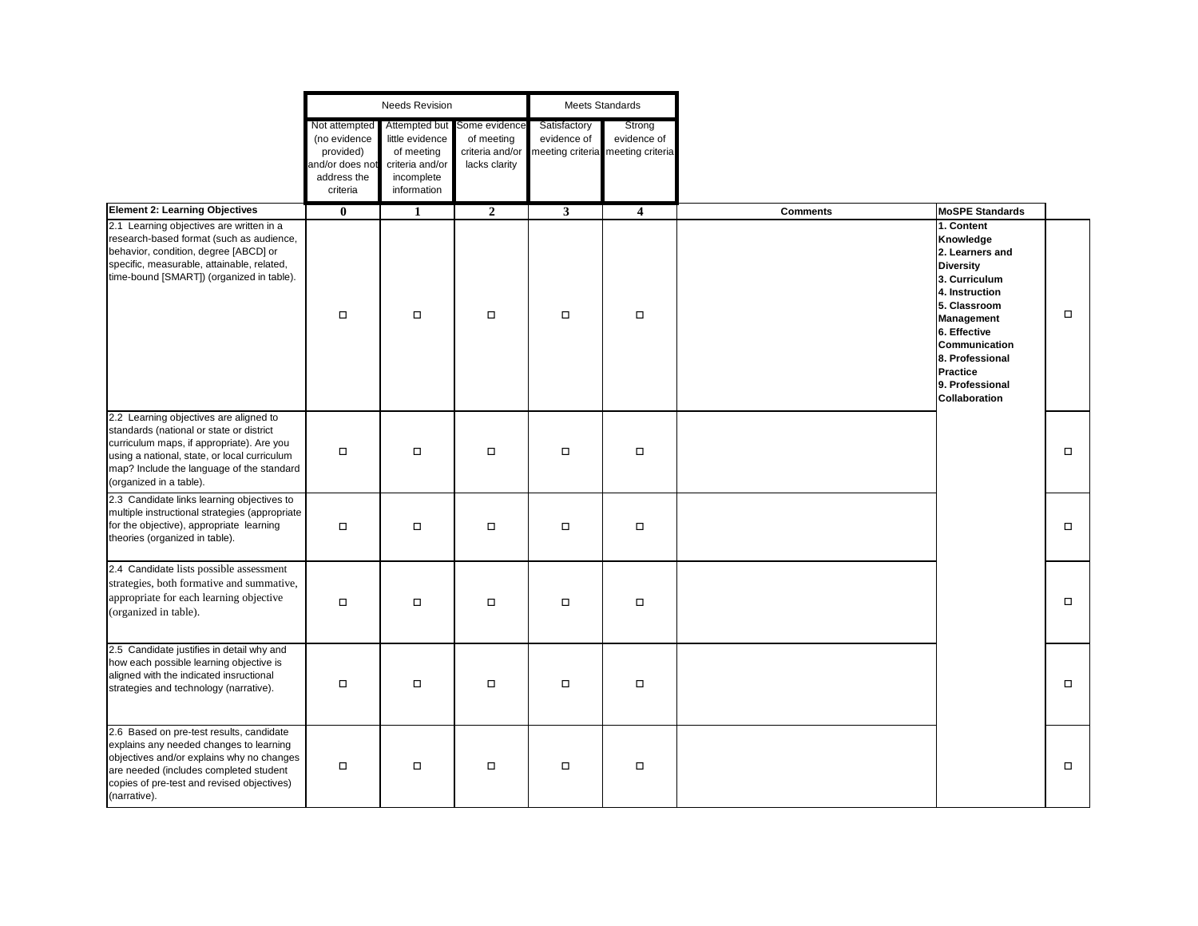|                                                                                                                                                                                                                                                         | <b>Needs Revision</b>                                                                    |                                                                                                |                                                                 | <b>Meets Standards</b>      |                                                            |                 |                                                                                                                                                                                                                                            |        |
|---------------------------------------------------------------------------------------------------------------------------------------------------------------------------------------------------------------------------------------------------------|------------------------------------------------------------------------------------------|------------------------------------------------------------------------------------------------|-----------------------------------------------------------------|-----------------------------|------------------------------------------------------------|-----------------|--------------------------------------------------------------------------------------------------------------------------------------------------------------------------------------------------------------------------------------------|--------|
|                                                                                                                                                                                                                                                         | Not attempted<br>(no evidence<br>provided)<br>and/or does not<br>address the<br>criteria | Attempted but<br>little evidence<br>of meeting<br>criteria and/or<br>incomplete<br>information | Some evidence<br>of meeting<br>criteria and/or<br>lacks clarity | Satisfactory<br>evidence of | Strong<br>evidence of<br>meeting criteria meeting criteria |                 |                                                                                                                                                                                                                                            |        |
| <b>Element 2: Learning Objectives</b>                                                                                                                                                                                                                   | $\bf{0}$                                                                                 | $\mathbf{1}$                                                                                   | $\overline{2}$                                                  | $\overline{\mathbf{3}}$     | $\overline{4}$                                             | <b>Comments</b> | <b>MoSPE Standards</b>                                                                                                                                                                                                                     |        |
| 2.1 Learning objectives are written in a<br>research-based format (such as audience,<br>behavior, condition, degree [ABCD] or<br>specific, measurable, attainable, related,<br>time-bound [SMART]) (organized in table).                                | $\Box$                                                                                   | $\Box$                                                                                         | $\Box$                                                          | $\Box$                      | $\Box$                                                     |                 | 1. Content<br>Knowledge<br>2. Learners and<br><b>Diversity</b><br>3. Curriculum<br>4. Instruction<br>5. Classroom<br>Management<br>6. Effective<br>Communication<br>8. Professional<br><b>Practice</b><br>9. Professional<br>Collaboration | $\Box$ |
| 2.2 Learning objectives are aligned to<br>standards (national or state or district<br>curriculum maps, if appropriate). Are you<br>using a national, state, or local curriculum<br>map? Include the language of the standard<br>(organized in a table). | $\Box$                                                                                   | $\Box$                                                                                         | $\Box$                                                          | $\Box$                      | $\Box$                                                     |                 |                                                                                                                                                                                                                                            | $\Box$ |
| 2.3 Candidate links learning objectives to<br>multiple instructional strategies (appropriate<br>for the objective), appropriate learning<br>theories (organized in table).                                                                              | $\Box$                                                                                   | $\Box$                                                                                         | $\Box$                                                          | $\Box$                      | $\Box$                                                     |                 |                                                                                                                                                                                                                                            | $\Box$ |
| 2.4 Candidate lists possible assessment<br>strategies, both formative and summative,<br>appropriate for each learning objective<br>(organized in table).                                                                                                | $\Box$                                                                                   | $\Box$                                                                                         | $\Box$                                                          | $\Box$                      | $\Box$                                                     |                 |                                                                                                                                                                                                                                            | $\Box$ |
| 2.5 Candidate justifies in detail why and<br>how each possible learning objective is<br>aligned with the indicated insructional<br>strategies and technology (narrative).                                                                               | $\Box$                                                                                   | $\Box$                                                                                         | $\Box$                                                          | $\Box$                      | $\Box$                                                     |                 |                                                                                                                                                                                                                                            | $\Box$ |
| 2.6 Based on pre-test results, candidate<br>explains any needed changes to learning<br>objectives and/or explains why no changes<br>are needed (includes completed student<br>copies of pre-test and revised objectives)<br>(narrative).                | $\Box$                                                                                   | $\Box$                                                                                         | $\Box$                                                          | $\Box$                      | $\Box$                                                     |                 |                                                                                                                                                                                                                                            | $\Box$ |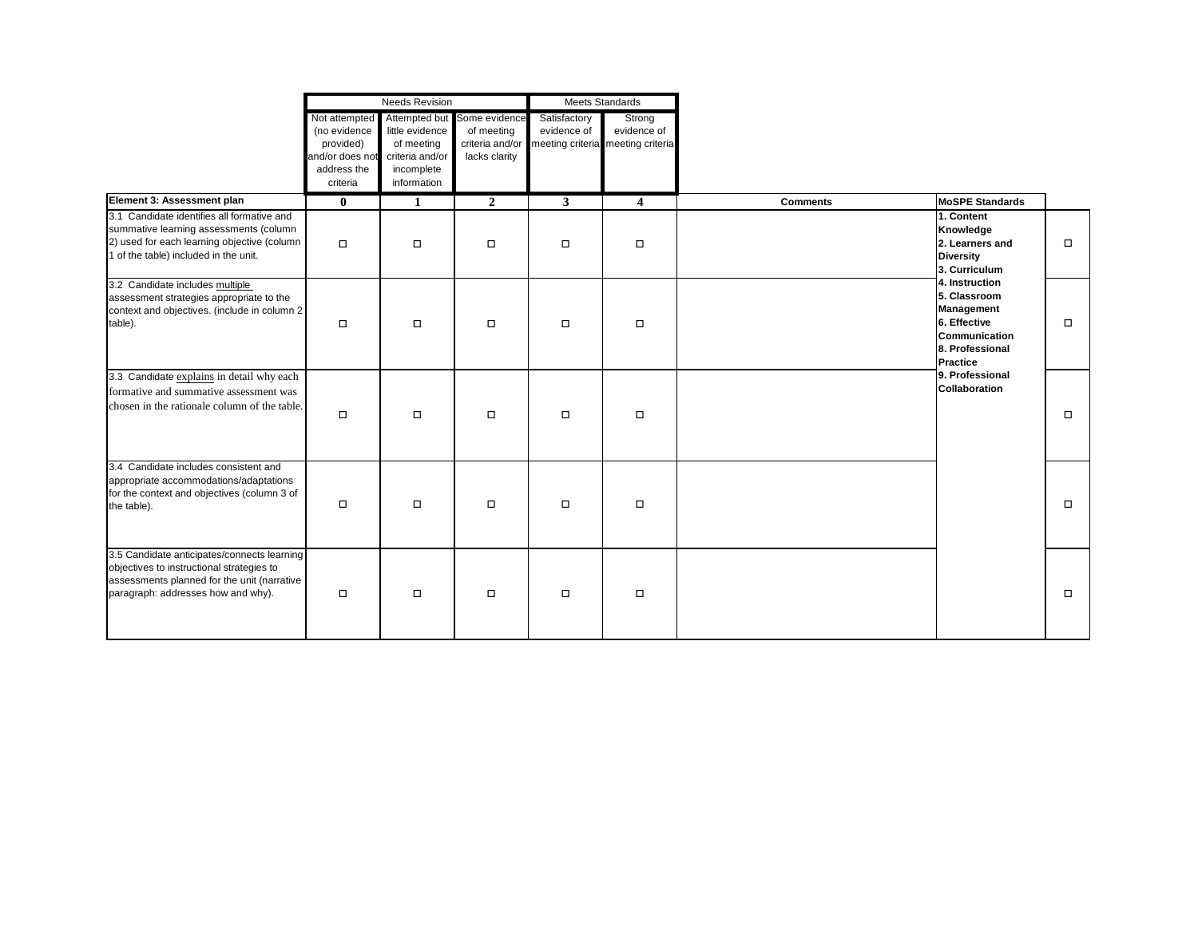|                                                                                                                                                                               | <b>Needs Revision</b>                                                                    |                                                                                                |                                                                 | Meets Standards             |                                                            |                 |                                                                                                              |        |
|-------------------------------------------------------------------------------------------------------------------------------------------------------------------------------|------------------------------------------------------------------------------------------|------------------------------------------------------------------------------------------------|-----------------------------------------------------------------|-----------------------------|------------------------------------------------------------|-----------------|--------------------------------------------------------------------------------------------------------------|--------|
|                                                                                                                                                                               | Not attempted<br>(no evidence<br>provided)<br>and/or does not<br>address the<br>criteria | Attempted but<br>little evidence<br>of meeting<br>criteria and/or<br>incomplete<br>information | Some evidence<br>of meeting<br>criteria and/or<br>lacks clarity | Satisfactory<br>evidence of | Strong<br>evidence of<br>meeting criteria meeting criteria |                 |                                                                                                              |        |
| Element 3: Assessment plan                                                                                                                                                    | $\bf{0}$                                                                                 | 1                                                                                              | $\overline{2}$                                                  | 3 <sup>1</sup>              | $\overline{\mathbf{4}}$                                    | <b>Comments</b> | <b>MoSPE Standards</b>                                                                                       |        |
| 3.1 Candidate identifies all formative and<br>summative learning assessments (column<br>2) used for each learning objective (column<br>1 of the table) included in the unit.  | $\Box$                                                                                   | $\Box$                                                                                         | $\Box$                                                          | $\Box$                      | $\Box$                                                     |                 | 1. Content<br>Knowledge<br>2. Learners and<br><b>Diversity</b><br>3. Curriculum                              | $\Box$ |
| 3.2 Candidate includes multiple<br>assessment strategies appropriate to the<br>context and objectives. (include in column 2<br>table).                                        | $\Box$                                                                                   | $\Box$                                                                                         | $\Box$                                                          | $\Box$                      | $\Box$                                                     |                 | 4. Instruction<br>5. Classroom<br>Management<br>6. Effective<br>Communication<br>8. Professional<br>Practice | $\Box$ |
| 3.3 Candidate explains in detail why each<br>formative and summative assessment was<br>chosen in the rationale column of the table.                                           | $\Box$                                                                                   | $\Box$                                                                                         | $\Box$                                                          | $\Box$                      | $\Box$                                                     |                 | 9. Professional<br><b>Collaboration</b>                                                                      | $\Box$ |
| 3.4 Candidate includes consistent and<br>appropriate accommodations/adaptations<br>for the context and objectives (column 3 of<br>the table).                                 | $\Box$                                                                                   | $\Box$                                                                                         | $\Box$                                                          | $\Box$                      | $\Box$                                                     |                 |                                                                                                              | $\Box$ |
| 3.5 Candidate anticipates/connects learning<br>objectives to instructional strategies to<br>assessments planned for the unit (narrative<br>paragraph: addresses how and why). | $\Box$                                                                                   | $\Box$                                                                                         | $\Box$                                                          | $\Box$                      | $\Box$                                                     |                 |                                                                                                              | $\Box$ |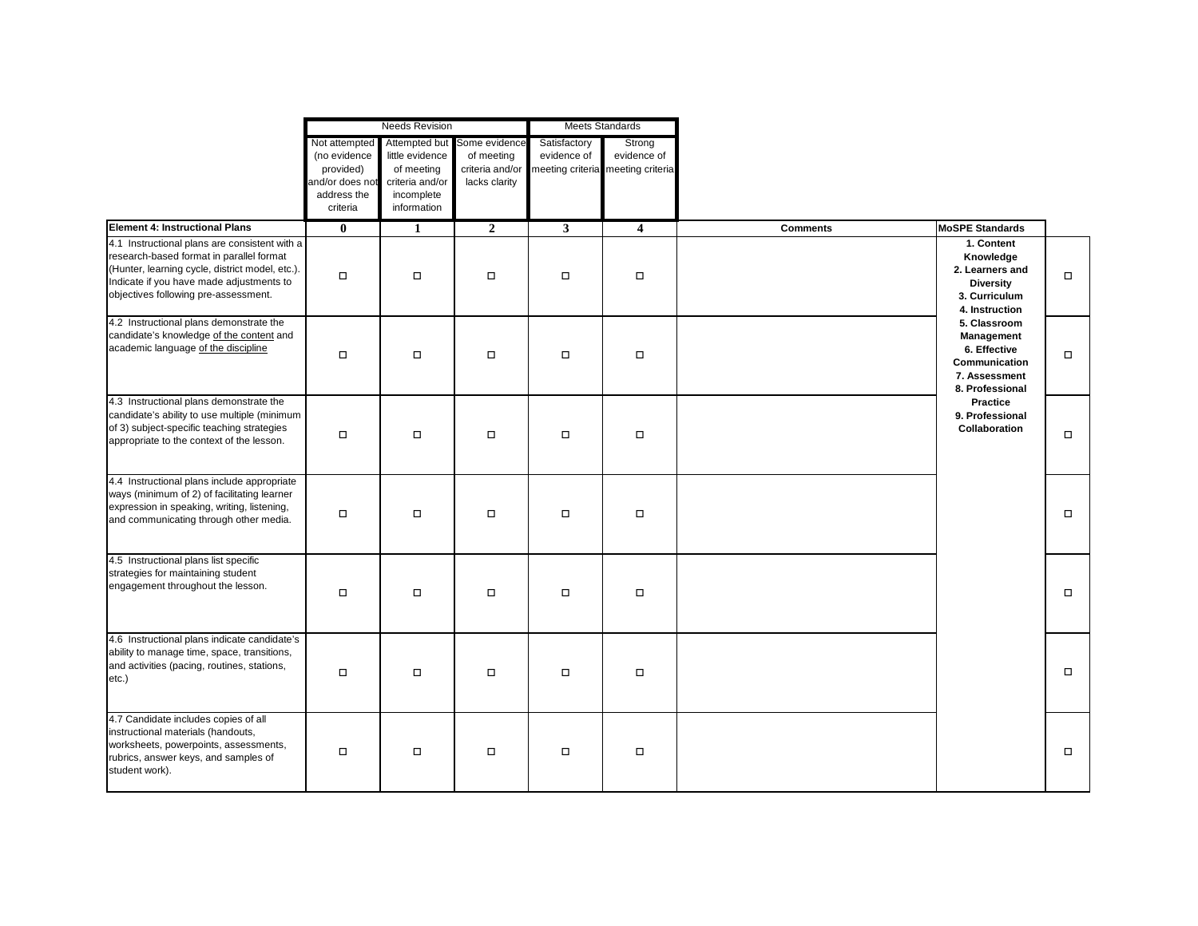|                                                                                                                                                                                                                                  | <b>Needs Revision</b>                                                                    |                                                                                                |                                                                 | <b>Meets Standards</b>      |                                                            |                 |                                                                                                                                                                                                                                                                    |        |
|----------------------------------------------------------------------------------------------------------------------------------------------------------------------------------------------------------------------------------|------------------------------------------------------------------------------------------|------------------------------------------------------------------------------------------------|-----------------------------------------------------------------|-----------------------------|------------------------------------------------------------|-----------------|--------------------------------------------------------------------------------------------------------------------------------------------------------------------------------------------------------------------------------------------------------------------|--------|
|                                                                                                                                                                                                                                  | Not attempted<br>(no evidence<br>provided)<br>and/or does not<br>address the<br>criteria | Attempted but<br>little evidence<br>of meeting<br>criteria and/or<br>incomplete<br>information | Some evidence<br>of meeting<br>criteria and/or<br>lacks clarity | Satisfactory<br>evidence of | Strong<br>evidence of<br>meeting criteria meeting criteria |                 |                                                                                                                                                                                                                                                                    |        |
| <b>Element 4: Instructional Plans</b>                                                                                                                                                                                            | $\bf{0}$                                                                                 | 1                                                                                              | $\boldsymbol{2}$                                                | $\mathbf{3}$                | $\overline{\mathbf{4}}$                                    | <b>Comments</b> | <b>MoSPE Standards</b>                                                                                                                                                                                                                                             |        |
| 4.1 Instructional plans are consistent with a<br>research-based format in parallel format<br>(Hunter, learning cycle, district model, etc.).<br>Indicate if you have made adjustments to<br>objectives following pre-assessment. | $\Box$                                                                                   | $\Box$                                                                                         | $\Box$                                                          | $\Box$                      | $\Box$                                                     |                 | 1. Content<br>Knowledge<br>2. Learners and<br><b>Diversity</b><br>3. Curriculum<br>4. Instruction<br>5. Classroom<br>Management<br>6. Effective<br>Communication<br>7. Assessment<br>8. Professional<br><b>Practice</b><br>9. Professional<br><b>Collaboration</b> | $\Box$ |
| 4.2 Instructional plans demonstrate the<br>candidate's knowledge of the content and<br>academic language of the discipline                                                                                                       | $\Box$                                                                                   | $\Box$                                                                                         | $\Box$                                                          | $\Box$                      | $\Box$                                                     |                 |                                                                                                                                                                                                                                                                    | $\Box$ |
| 4.3 Instructional plans demonstrate the<br>candidate's ability to use multiple (minimum<br>of 3) subject-specific teaching strategies<br>appropriate to the context of the lesson.                                               | $\Box$                                                                                   | $\Box$                                                                                         | $\Box$                                                          | $\Box$                      | $\Box$                                                     |                 |                                                                                                                                                                                                                                                                    | $\Box$ |
| 4.4 Instructional plans include appropriate<br>ways (minimum of 2) of facilitating learner<br>expression in speaking, writing, listening,<br>and communicating through other media.                                              | $\Box$                                                                                   | $\Box$                                                                                         | $\Box$                                                          | $\Box$                      | $\Box$                                                     |                 |                                                                                                                                                                                                                                                                    | □      |
| 4.5 Instructional plans list specific<br>strategies for maintaining student<br>engagement throughout the lesson.                                                                                                                 | $\Box$                                                                                   | $\Box$                                                                                         | $\Box$                                                          | $\Box$                      | $\Box$                                                     |                 |                                                                                                                                                                                                                                                                    | $\Box$ |
| 4.6 Instructional plans indicate candidate's<br>ability to manage time, space, transitions,<br>and activities (pacing, routines, stations,<br>etc.)                                                                              | $\Box$                                                                                   | $\Box$                                                                                         | $\Box$                                                          | $\Box$                      | $\Box$                                                     |                 |                                                                                                                                                                                                                                                                    | $\Box$ |
| 4.7 Candidate includes copies of all<br>instructional materials (handouts,<br>worksheets, powerpoints, assessments,<br>rubrics, answer keys, and samples of<br>student work).                                                    | $\Box$                                                                                   | $\Box$                                                                                         | $\Box$                                                          | $\Box$                      | $\Box$                                                     |                 |                                                                                                                                                                                                                                                                    | $\Box$ |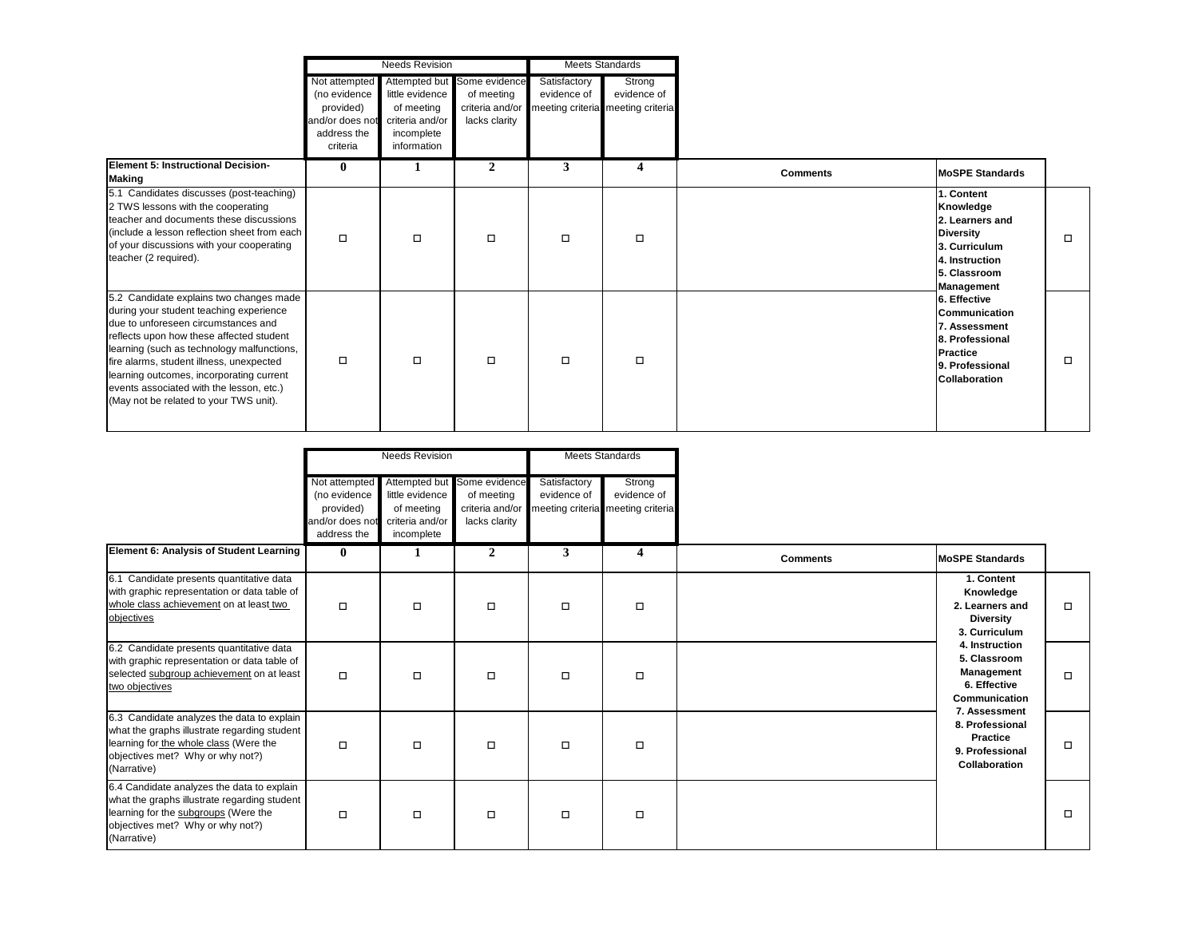|                                                                                                                                                                                                                                                                                                                                                                                                   | <b>Needs Revision</b>                                                                    |                                                                               |                                                                               | <b>Meets Standards</b>      |                                                            |                 |                                                                                                                                                                                                                                                                    |   |
|---------------------------------------------------------------------------------------------------------------------------------------------------------------------------------------------------------------------------------------------------------------------------------------------------------------------------------------------------------------------------------------------------|------------------------------------------------------------------------------------------|-------------------------------------------------------------------------------|-------------------------------------------------------------------------------|-----------------------------|------------------------------------------------------------|-----------------|--------------------------------------------------------------------------------------------------------------------------------------------------------------------------------------------------------------------------------------------------------------------|---|
|                                                                                                                                                                                                                                                                                                                                                                                                   | Not attempted<br>(no evidence<br>provided)<br>and/or does not<br>address the<br>criteria | little evidence<br>of meeting<br>criteria and/or<br>incomplete<br>information | Attempted but Some evidence<br>of meeting<br>criteria and/or<br>lacks clarity | Satisfactory<br>evidence of | Strong<br>evidence of<br>meeting criteria meeting criteria |                 |                                                                                                                                                                                                                                                                    |   |
| Element 5: Instructional Decision-<br><b>Making</b>                                                                                                                                                                                                                                                                                                                                               | $\mathbf{0}$                                                                             | 1                                                                             | $\overline{2}$                                                                | 3                           | $\overline{4}$                                             | <b>Comments</b> | <b>MoSPE Standards</b>                                                                                                                                                                                                                                             |   |
| 5.1 Candidates discusses (post-teaching)<br>2 TWS lessons with the cooperating<br>teacher and documents these discussions<br>(include a lesson reflection sheet from each<br>of your discussions with your cooperating<br>teacher (2 required).                                                                                                                                                   | $\Box$                                                                                   | $\Box$                                                                        | $\Box$                                                                        | $\Box$                      | $\Box$                                                     |                 | 1. Content<br>Knowledge<br>2. Learners and<br><b>Diversity</b><br>3. Curriculum<br>4. Instruction<br>5. Classroom<br>Management<br>6. Effective<br><b>Communication</b><br>7. Assessment<br>8. Professional<br>Practice<br>9. Professional<br><b>Collaboration</b> |   |
| 5.2 Candidate explains two changes made<br>during your student teaching experience<br>due to unforeseen circumstances and<br>reflects upon how these affected student<br>learning (such as technology malfunctions,<br>fire alarms, student illness, unexpected<br>learning outcomes, incorporating current<br>events associated with the lesson, etc.)<br>(May not be related to your TWS unit). | $\Box$                                                                                   | $\Box$                                                                        | $\Box$                                                                        | $\Box$                      | $\Box$                                                     |                 |                                                                                                                                                                                                                                                                    | □ |

|                                                                                                                                                                                         | <b>Needs Revision</b>                                                        |                                                                | <b>Meets Standards</b>                                                        |                             |                                                            |                 |                                                                                                                                                                          |        |
|-----------------------------------------------------------------------------------------------------------------------------------------------------------------------------------------|------------------------------------------------------------------------------|----------------------------------------------------------------|-------------------------------------------------------------------------------|-----------------------------|------------------------------------------------------------|-----------------|--------------------------------------------------------------------------------------------------------------------------------------------------------------------------|--------|
|                                                                                                                                                                                         | Not attempted<br>(no evidence<br>provided)<br>and/or does not<br>address the | little evidence<br>of meeting<br>criteria and/or<br>incomplete | Attempted but Some evidence<br>of meeting<br>criteria and/or<br>lacks clarity | Satisfactory<br>evidence of | Strong<br>evidence of<br>meeting criteria meeting criteria |                 |                                                                                                                                                                          |        |
| Element 6: Analysis of Student Learning                                                                                                                                                 | $\bf{0}$                                                                     | 1                                                              | $\overline{2}$                                                                | 3                           | $\boldsymbol{4}$                                           | <b>Comments</b> | <b>MoSPE Standards</b>                                                                                                                                                   |        |
| 6.1 Candidate presents quantitative data<br>with graphic representation or data table of<br>whole class achievement on at least two<br>objectives                                       | $\Box$                                                                       | $\Box$                                                         | $\Box$                                                                        | □                           | $\Box$                                                     |                 | 1. Content<br>Knowledge<br>2. Learners and<br><b>Diversity</b><br>3. Curriculum                                                                                          | $\Box$ |
| 6.2 Candidate presents quantitative data<br>with graphic representation or data table of<br>selected subgroup achievement on at least<br>two objectives                                 | $\Box$                                                                       | $\Box$                                                         | $\Box$                                                                        | $\Box$                      | □                                                          |                 | 4. Instruction<br>5. Classroom<br>Management<br>6. Effective<br>Communication<br>7. Assessment<br>8. Professional<br><b>Practice</b><br>9. Professional<br>Collaboration | $\Box$ |
| 6.3 Candidate analyzes the data to explain<br>what the graphs illustrate regarding student<br>learning for the whole class (Were the<br>objectives met? Why or why not?)<br>(Narrative) | о                                                                            | $\Box$                                                         | $\Box$                                                                        | □                           | $\Box$                                                     |                 |                                                                                                                                                                          |        |
| 6.4 Candidate analyzes the data to explain<br>what the graphs illustrate regarding student<br>learning for the subgroups (Were the<br>objectives met? Why or why not?)<br>(Narrative)   | о                                                                            | $\Box$                                                         | $\Box$                                                                        | $\Box$                      | □                                                          |                 |                                                                                                                                                                          | $\Box$ |